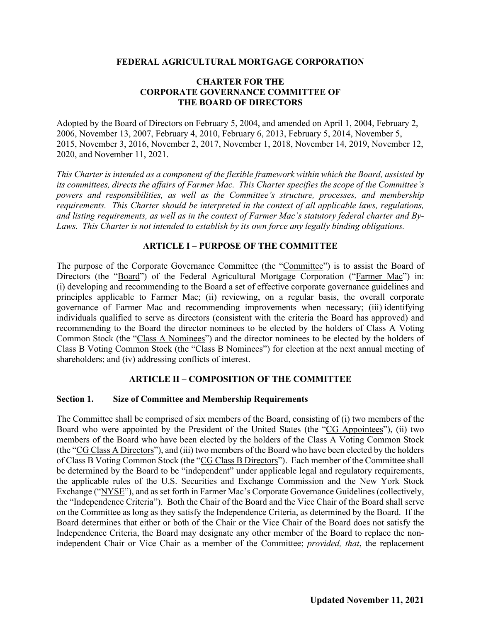### **FEDERAL AGRICULTURAL MORTGAGE CORPORATION**

### **CHARTER FOR THE CORPORATE GOVERNANCE COMMITTEE OF THE BOARD OF DIRECTORS**

Adopted by the Board of Directors on February 5, 2004, and amended on April 1, 2004, February 2, 2006, November 13, 2007, February 4, 2010, February 6, 2013, February 5, 2014, November 5, 2015, November 3, 2016, November 2, 2017, November 1, 2018, November 14, 2019, November 12, 2020, and November 11, 2021.

*This Charter is intended as a component of the flexible framework within which the Board, assisted by its committees, directs the affairs of Farmer Mac. This Charter specifies the scope of the Committee's powers and responsibilities, as well as the Committee's structure, processes, and membership requirements. This Charter should be interpreted in the context of all applicable laws, regulations, and listing requirements, as well as in the context of Farmer Mac's statutory federal charter and By-Laws. This Charter is not intended to establish by its own force any legally binding obligations.*

# **ARTICLE I – PURPOSE OF THE COMMITTEE**

The purpose of the Corporate Governance Committee (the "Committee") is to assist the Board of Directors (the "Board") of the Federal Agricultural Mortgage Corporation ("Farmer Mac") in: (i) developing and recommending to the Board a set of effective corporate governance guidelines and principles applicable to Farmer Mac; (ii) reviewing, on a regular basis, the overall corporate governance of Farmer Mac and recommending improvements when necessary; (iii) identifying individuals qualified to serve as directors (consistent with the criteria the Board has approved) and recommending to the Board the director nominees to be elected by the holders of Class A Voting Common Stock (the "Class A Nominees") and the director nominees to be elected by the holders of Class B Voting Common Stock (the "Class B Nominees") for election at the next annual meeting of shareholders; and (iv) addressing conflicts of interest.

# **ARTICLE II – COMPOSITION OF THE COMMITTEE**

#### **Section 1. Size of Committee and Membership Requirements**

The Committee shall be comprised of six members of the Board, consisting of (i) two members of the Board who were appointed by the President of the United States (the "CG Appointees"), (ii) two members of the Board who have been elected by the holders of the Class A Voting Common Stock (the "CG Class A Directors"), and (iii) two members of the Board who have been elected by the holders of Class B Voting Common Stock (the "CG Class B Directors"). Each member of the Committee shall be determined by the Board to be "independent" under applicable legal and regulatory requirements, the applicable rules of the U.S. Securities and Exchange Commission and the New York Stock Exchange ("NYSE"), and as set forth in Farmer Mac's Corporate Governance Guidelines (collectively, the "Independence Criteria"). Both the Chair of the Board and the Vice Chair of the Board shall serve on the Committee as long as they satisfy the Independence Criteria, as determined by the Board. If the Board determines that either or both of the Chair or the Vice Chair of the Board does not satisfy the Independence Criteria, the Board may designate any other member of the Board to replace the nonindependent Chair or Vice Chair as a member of the Committee; *provided, that*, the replacement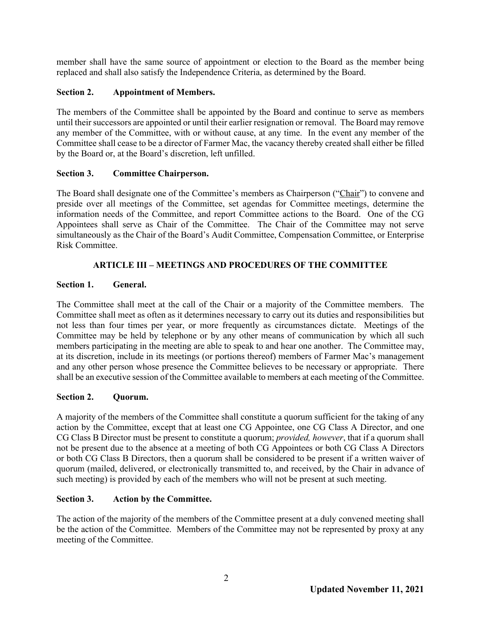member shall have the same source of appointment or election to the Board as the member being replaced and shall also satisfy the Independence Criteria, as determined by the Board.

# **Section 2. Appointment of Members.**

The members of the Committee shall be appointed by the Board and continue to serve as members until their successors are appointed or until their earlier resignation or removal. The Board may remove any member of the Committee, with or without cause, at any time. In the event any member of the Committee shall cease to be a director of Farmer Mac, the vacancy thereby created shall either be filled by the Board or, at the Board's discretion, left unfilled.

# **Section 3. Committee Chairperson.**

The Board shall designate one of the Committee's members as Chairperson ("Chair") to convene and preside over all meetings of the Committee, set agendas for Committee meetings, determine the information needs of the Committee, and report Committee actions to the Board. One of the CG Appointees shall serve as Chair of the Committee. The Chair of the Committee may not serve simultaneously as the Chair of the Board's Audit Committee, Compensation Committee, or Enterprise Risk Committee.

# **ARTICLE III – MEETINGS AND PROCEDURES OF THE COMMITTEE**

# **Section 1. General.**

The Committee shall meet at the call of the Chair or a majority of the Committee members. The Committee shall meet as often as it determines necessary to carry out its duties and responsibilities but not less than four times per year, or more frequently as circumstances dictate. Meetings of the Committee may be held by telephone or by any other means of communication by which all such members participating in the meeting are able to speak to and hear one another. The Committee may, at its discretion, include in its meetings (or portions thereof) members of Farmer Mac's management and any other person whose presence the Committee believes to be necessary or appropriate. There shall be an executive session of the Committee available to members at each meeting of the Committee.

# **Section 2. Quorum.**

A majority of the members of the Committee shall constitute a quorum sufficient for the taking of any action by the Committee, except that at least one CG Appointee, one CG Class A Director, and one CG Class B Director must be present to constitute a quorum; *provided, however*, that if a quorum shall not be present due to the absence at a meeting of both CG Appointees or both CG Class A Directors or both CG Class B Directors, then a quorum shall be considered to be present if a written waiver of quorum (mailed, delivered, or electronically transmitted to, and received, by the Chair in advance of such meeting) is provided by each of the members who will not be present at such meeting.

# **Section 3. Action by the Committee.**

The action of the majority of the members of the Committee present at a duly convened meeting shall be the action of the Committee. Members of the Committee may not be represented by proxy at any meeting of the Committee.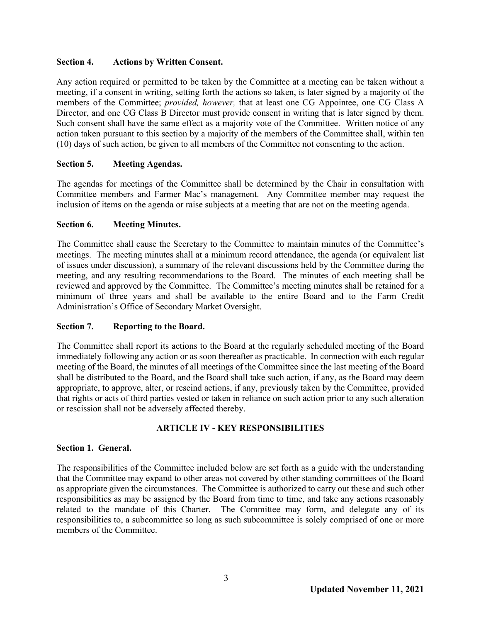### **Section 4. Actions by Written Consent.**

Any action required or permitted to be taken by the Committee at a meeting can be taken without a meeting, if a consent in writing, setting forth the actions so taken, is later signed by a majority of the members of the Committee; *provided, however,* that at least one CG Appointee, one CG Class A Director, and one CG Class B Director must provide consent in writing that is later signed by them. Such consent shall have the same effect as a majority vote of the Committee. Written notice of any action taken pursuant to this section by a majority of the members of the Committee shall, within ten (10) days of such action, be given to all members of the Committee not consenting to the action.

# **Section 5. Meeting Agendas.**

The agendas for meetings of the Committee shall be determined by the Chair in consultation with Committee members and Farmer Mac's management. Any Committee member may request the inclusion of items on the agenda or raise subjects at a meeting that are not on the meeting agenda.

### **Section 6. Meeting Minutes.**

The Committee shall cause the Secretary to the Committee to maintain minutes of the Committee's meetings. The meeting minutes shall at a minimum record attendance, the agenda (or equivalent list of issues under discussion), a summary of the relevant discussions held by the Committee during the meeting, and any resulting recommendations to the Board. The minutes of each meeting shall be reviewed and approved by the Committee. The Committee's meeting minutes shall be retained for a minimum of three years and shall be available to the entire Board and to the Farm Credit Administration's Office of Secondary Market Oversight.

# **Section 7. Reporting to the Board.**

The Committee shall report its actions to the Board at the regularly scheduled meeting of the Board immediately following any action or as soon thereafter as practicable. In connection with each regular meeting of the Board, the minutes of all meetings of the Committee since the last meeting of the Board shall be distributed to the Board, and the Board shall take such action, if any, as the Board may deem appropriate, to approve, alter, or rescind actions, if any, previously taken by the Committee, provided that rights or acts of third parties vested or taken in reliance on such action prior to any such alteration or rescission shall not be adversely affected thereby.

# **ARTICLE IV - KEY RESPONSIBILITIES**

#### **Section 1. General.**

The responsibilities of the Committee included below are set forth as a guide with the understanding that the Committee may expand to other areas not covered by other standing committees of the Board as appropriate given the circumstances. The Committee is authorized to carry out these and such other responsibilities as may be assigned by the Board from time to time, and take any actions reasonably related to the mandate of this Charter. The Committee may form, and delegate any of its responsibilities to, a subcommittee so long as such subcommittee is solely comprised of one or more members of the Committee.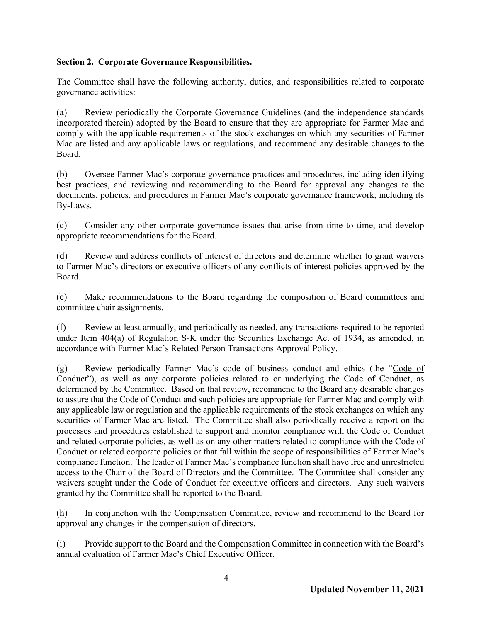# **Section 2. Corporate Governance Responsibilities.**

The Committee shall have the following authority, duties, and responsibilities related to corporate governance activities:

(a) Review periodically the Corporate Governance Guidelines (and the independence standards incorporated therein) adopted by the Board to ensure that they are appropriate for Farmer Mac and comply with the applicable requirements of the stock exchanges on which any securities of Farmer Mac are listed and any applicable laws or regulations, and recommend any desirable changes to the Board.

(b) Oversee Farmer Mac's corporate governance practices and procedures, including identifying best practices, and reviewing and recommending to the Board for approval any changes to the documents, policies, and procedures in Farmer Mac's corporate governance framework, including its By-Laws.

(c) Consider any other corporate governance issues that arise from time to time, and develop appropriate recommendations for the Board.

(d) Review and address conflicts of interest of directors and determine whether to grant waivers to Farmer Mac's directors or executive officers of any conflicts of interest policies approved by the Board.

(e) Make recommendations to the Board regarding the composition of Board committees and committee chair assignments.

(f) Review at least annually, and periodically as needed, any transactions required to be reported under Item 404(a) of Regulation S-K under the Securities Exchange Act of 1934, as amended, in accordance with Farmer Mac's Related Person Transactions Approval Policy.

(g) Review periodically Farmer Mac's code of business conduct and ethics (the "Code of Conduct"), as well as any corporate policies related to or underlying the Code of Conduct, as determined by the Committee. Based on that review, recommend to the Board any desirable changes to assure that the Code of Conduct and such policies are appropriate for Farmer Mac and comply with any applicable law or regulation and the applicable requirements of the stock exchanges on which any securities of Farmer Mac are listed. The Committee shall also periodically receive a report on the processes and procedures established to support and monitor compliance with the Code of Conduct and related corporate policies, as well as on any other matters related to compliance with the Code of Conduct or related corporate policies or that fall within the scope of responsibilities of Farmer Mac's compliance function. The leader of Farmer Mac's compliance function shall have free and unrestricted access to the Chair of the Board of Directors and the Committee. The Committee shall consider any waivers sought under the Code of Conduct for executive officers and directors. Any such waivers granted by the Committee shall be reported to the Board.

(h) In conjunction with the Compensation Committee, review and recommend to the Board for approval any changes in the compensation of directors.

(i) Provide support to the Board and the Compensation Committee in connection with the Board's annual evaluation of Farmer Mac's Chief Executive Officer.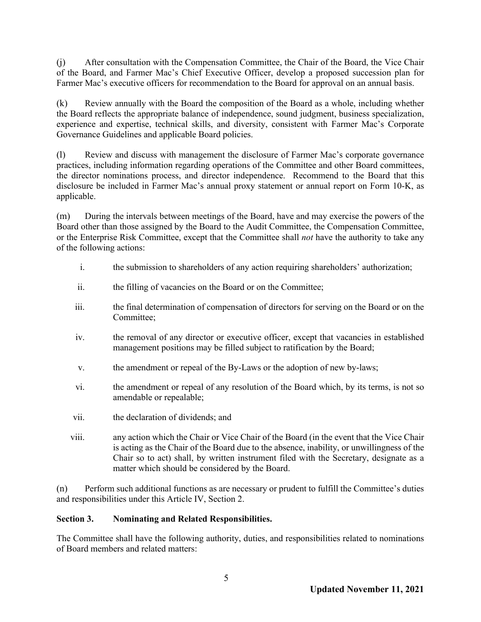(j) After consultation with the Compensation Committee, the Chair of the Board, the Vice Chair of the Board, and Farmer Mac's Chief Executive Officer, develop a proposed succession plan for Farmer Mac's executive officers for recommendation to the Board for approval on an annual basis.

(k) Review annually with the Board the composition of the Board as a whole, including whether the Board reflects the appropriate balance of independence, sound judgment, business specialization, experience and expertise, technical skills, and diversity, consistent with Farmer Mac's Corporate Governance Guidelines and applicable Board policies.

(l) Review and discuss with management the disclosure of Farmer Mac's corporate governance practices, including information regarding operations of the Committee and other Board committees, the director nominations process, and director independence. Recommend to the Board that this disclosure be included in Farmer Mac's annual proxy statement or annual report on Form 10-K, as applicable.

(m) During the intervals between meetings of the Board, have and may exercise the powers of the Board other than those assigned by the Board to the Audit Committee, the Compensation Committee, or the Enterprise Risk Committee, except that the Committee shall *not* have the authority to take any of the following actions:

- i. the submission to shareholders of any action requiring shareholders' authorization;
- ii. the filling of vacancies on the Board or on the Committee;
- iii. the final determination of compensation of directors for serving on the Board or on the Committee;
- iv. the removal of any director or executive officer, except that vacancies in established management positions may be filled subject to ratification by the Board;
- v. the amendment or repeal of the By-Laws or the adoption of new by-laws;
- vi. the amendment or repeal of any resolution of the Board which, by its terms, is not so amendable or repealable;
- vii. the declaration of dividends; and
- viii. any action which the Chair or Vice Chair of the Board (in the event that the Vice Chair is acting as the Chair of the Board due to the absence, inability, or unwillingness of the Chair so to act) shall, by written instrument filed with the Secretary, designate as a matter which should be considered by the Board.

(n) Perform such additional functions as are necessary or prudent to fulfill the Committee's duties and responsibilities under this Article IV, Section 2.

# **Section 3. Nominating and Related Responsibilities.**

The Committee shall have the following authority, duties, and responsibilities related to nominations of Board members and related matters: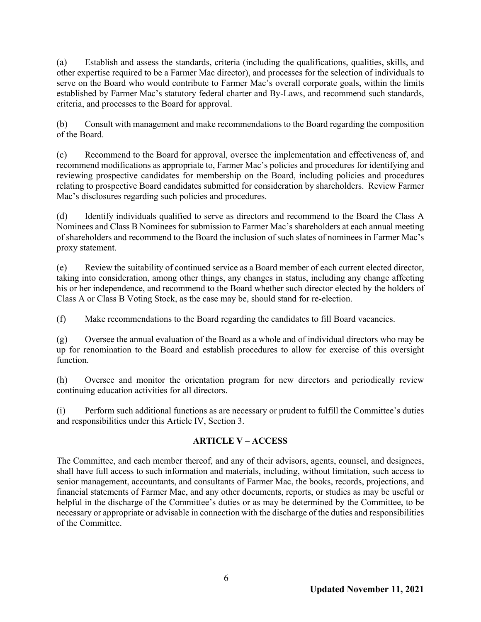(a) Establish and assess the standards, criteria (including the qualifications, qualities, skills, and other expertise required to be a Farmer Mac director), and processes for the selection of individuals to serve on the Board who would contribute to Farmer Mac's overall corporate goals, within the limits established by Farmer Mac's statutory federal charter and By-Laws, and recommend such standards, criteria, and processes to the Board for approval.

(b) Consult with management and make recommendations to the Board regarding the composition of the Board.

(c) Recommend to the Board for approval, oversee the implementation and effectiveness of, and recommend modifications as appropriate to, Farmer Mac's policies and procedures for identifying and reviewing prospective candidates for membership on the Board, including policies and procedures relating to prospective Board candidates submitted for consideration by shareholders. Review Farmer Mac's disclosures regarding such policies and procedures.

(d) Identify individuals qualified to serve as directors and recommend to the Board the Class A Nominees and Class B Nominees for submission to Farmer Mac's shareholders at each annual meeting of shareholders and recommend to the Board the inclusion of such slates of nominees in Farmer Mac's proxy statement.

(e) Review the suitability of continued service as a Board member of each current elected director, taking into consideration, among other things, any changes in status, including any change affecting his or her independence, and recommend to the Board whether such director elected by the holders of Class A or Class B Voting Stock, as the case may be, should stand for re-election.

(f) Make recommendations to the Board regarding the candidates to fill Board vacancies.

(g) Oversee the annual evaluation of the Board as a whole and of individual directors who may be up for renomination to the Board and establish procedures to allow for exercise of this oversight function.

(h) Oversee and monitor the orientation program for new directors and periodically review continuing education activities for all directors.

(i) Perform such additional functions as are necessary or prudent to fulfill the Committee's duties and responsibilities under this Article IV, Section 3.

# **ARTICLE V – ACCESS**

The Committee, and each member thereof, and any of their advisors, agents, counsel, and designees, shall have full access to such information and materials, including, without limitation, such access to senior management, accountants, and consultants of Farmer Mac, the books, records, projections, and financial statements of Farmer Mac, and any other documents, reports, or studies as may be useful or helpful in the discharge of the Committee's duties or as may be determined by the Committee, to be necessary or appropriate or advisable in connection with the discharge of the duties and responsibilities of the Committee.